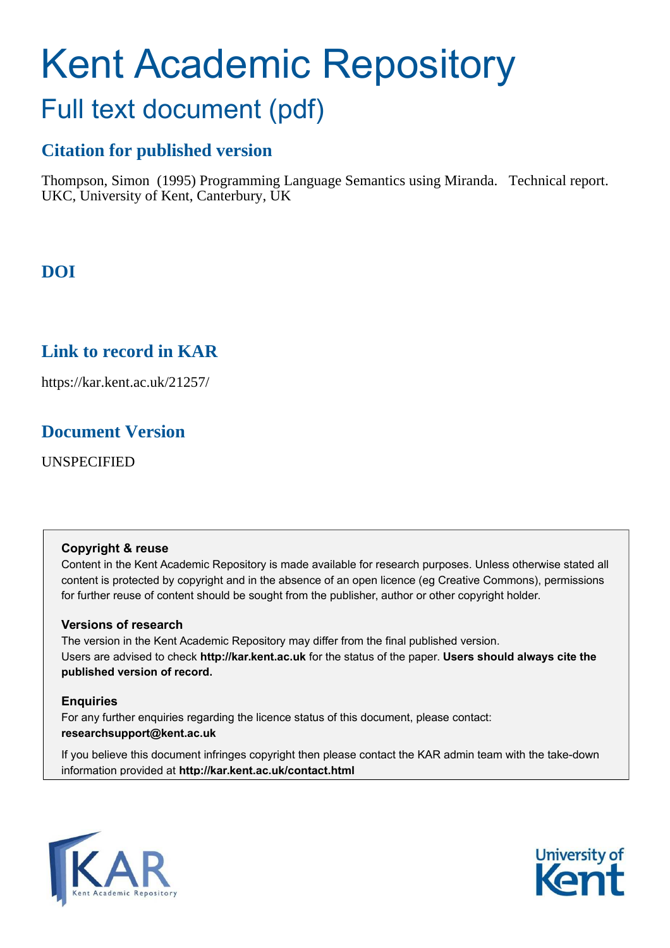# Kent Academic Repository Full text document (pdf)

### **Citation for published version**

Thompson, Simon (1995) Programming Language Semantics using Miranda. Technical report. UKC, University of Kent, Canterbury, UK

### **DOI**

### **Link to record in KAR**

https://kar.kent.ac.uk/21257/

### **Document Version**

UNSPECIFIED

#### **Copyright & reuse**

Content in the Kent Academic Repository is made available for research purposes. Unless otherwise stated all content is protected by copyright and in the absence of an open licence (eg Creative Commons), permissions for further reuse of content should be sought from the publisher, author or other copyright holder.

#### **Versions of research**

The version in the Kent Academic Repository may differ from the final published version. Users are advised to check **http://kar.kent.ac.uk** for the status of the paper. **Users should always cite the published version of record.**

#### **Enquiries**

For any further enquiries regarding the licence status of this document, please contact: **researchsupport@kent.ac.uk**

If you believe this document infringes copyright then please contact the KAR admin team with the take-down information provided at **http://kar.kent.ac.uk/contact.html**



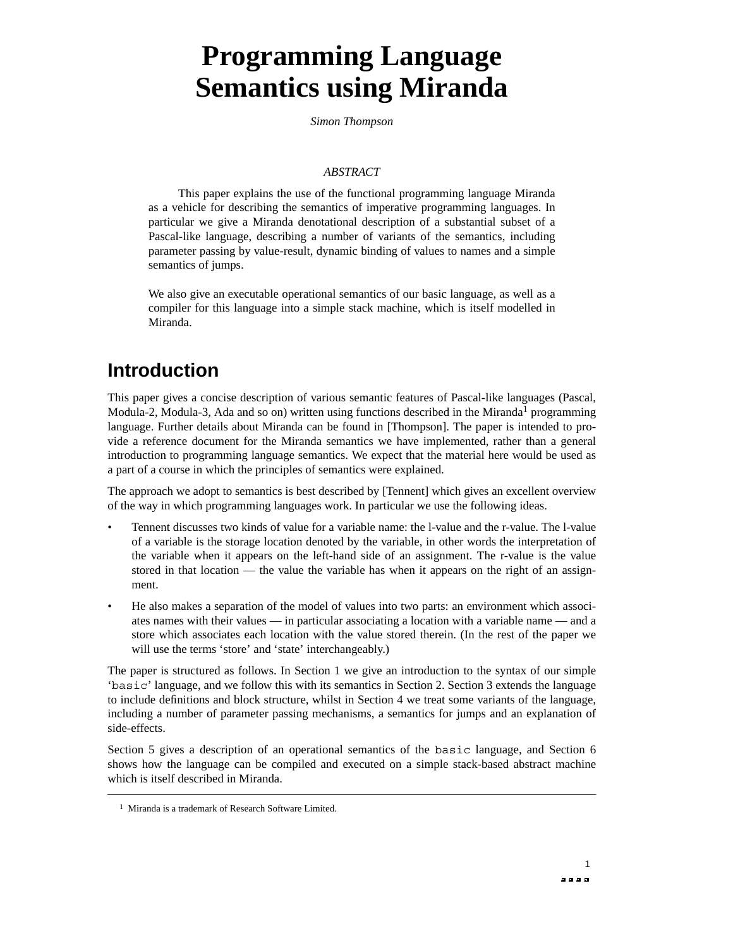## **Programming Language Semantics using Miranda**

*Simon Thompson*

#### *ABSTRACT*

This paper explains the use of the functional programming language Miranda as a vehicle for describing the semantics of imperative programming languages. In particular we give a Miranda denotational description of a substantial subset of a Pascal-like language, describing a number of variants of the semantics, including parameter passing by value-result, dynamic binding of values to names and a simple semantics of jumps.

We also give an executable operational semantics of our basic language, as well as a compiler for this language into a simple stack machine, which is itself modelled in Miranda.

### **Introduction**

This paper gives a concise description of various semantic features of Pascal-like languages (Pascal, Modula-2, Modula-3, Ada and so on) written using functions described in the Miranda<sup>1</sup> programming language. Further details about Miranda can be found in [Thompson]. The paper is intended to provide a reference document for the Miranda semantics we have implemented, rather than a general introduction to programming language semantics. We expect that the material here would be used as a part of a course in which the principles of semantics were explained.

The approach we adopt to semantics is best described by [Tennent] which gives an excellent overview of the way in which programming languages work. In particular we use the following ideas.

- Tennent discusses two kinds of value for a variable name: the l-value and the r-value. The l-value of a variable is the storage location denoted by the variable, in other words the interpretation of the variable when it appears on the left-hand side of an assignment. The r-value is the value stored in that location — the value the variable has when it appears on the right of an assignment.
- He also makes a separation of the model of values into two parts: an environment which associates names with their values — in particular associating a location with a variable name — and a store which associates each location with the value stored therein. (In the rest of the paper we will use the terms 'store' and 'state' interchangeably.)

The paper is structured as follows. In Section 1 we give an introduction to the syntax of our simple 'basic' language, and we follow this with its semantics in Section 2. Section 3 extends the language to include definitions and block structure, whilst in Section 4 we treat some variants of the language, including a number of parameter passing mechanisms, a semantics for jumps and an explanation of side-effects.

Section 5 gives a description of an operational semantics of the basic language, and Section 6 shows how the language can be compiled and executed on a simple stack-based abstract machine which is itself described in Miranda.

<sup>&</sup>lt;sup>1</sup> Miranda is a trademark of Research Software Limited.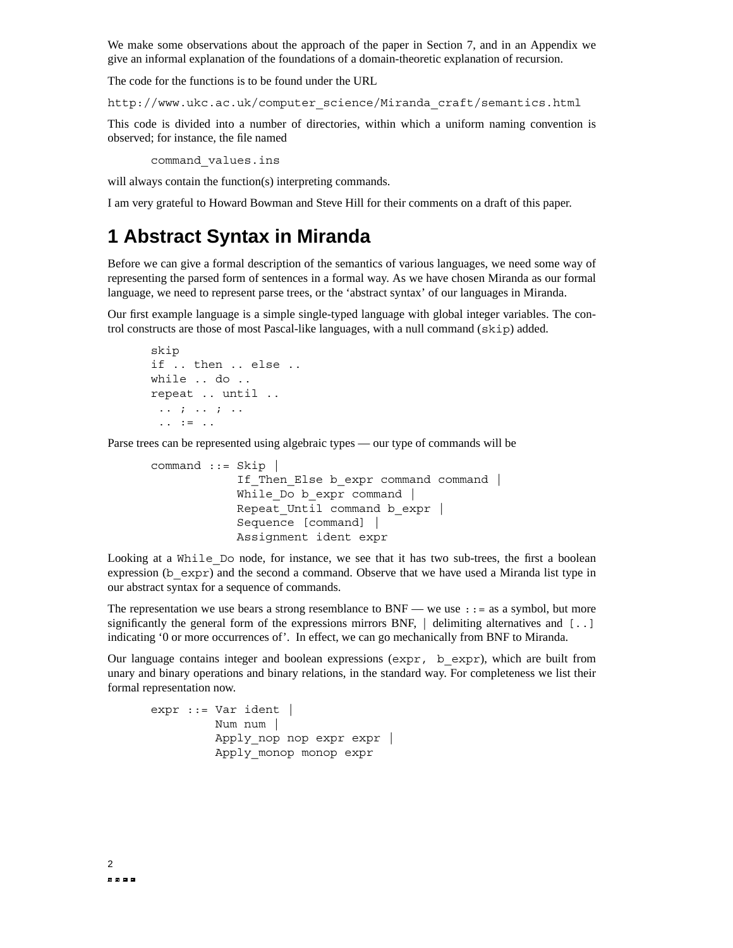We make some observations about the approach of the paper in Section 7, and in an Appendix we give an informal explanation of the foundations of a domain-theoretic explanation of recursion.

The code for the functions is to be found under the URL

http://www.ukc.ac.uk/computer\_science/Miranda\_craft/semantics.html

This code is divided into a number of directories, within which a uniform naming convention is observed; for instance, the file named

```
command_values.ins
```
will always contain the function(s) interpreting commands.

I am very grateful to Howard Bowman and Steve Hill for their comments on a draft of this paper.

### **1 Abstract Syntax in Miranda**

Before we can give a formal description of the semantics of various languages, we need some way of representing the parsed form of sentences in a formal way. As we have chosen Miranda as our formal language, we need to represent parse trees, or the 'abstract syntax' of our languages in Miranda.

Our first example language is a simple single-typed language with global integer variables. The control constructs are those of most Pascal-like languages, with a null command (skip) added.

```
skip
if .. then .. else ..
while .. do ..
repeat .. until ..
 .. ; .. ; ..
 .. := ..
```
Parse trees can be represented using algebraic types — our type of commands will be

```
command ::= Skip |
            If Then Else b expr command command |
            While Do b expr command |
            Repeat Until command b expr |
            Sequence [command] |
            Assignment ident expr
```
Looking at a While Do node, for instance, we see that it has two sub-trees, the first a boolean expression (b  $\exp(r)$  and the second a command. Observe that we have used a Miranda list type in our abstract syntax for a sequence of commands.

The representation we use bears a strong resemblance to BNF — we use  $\cdot$  : = as a symbol, but more significantly the general form of the expressions mirrors BNF,  $\vert$  delimiting alternatives and  $\vert \cdot \vert$ . indicating '0 or more occurrences of'. In effect, we can go mechanically from BNF to Miranda.

Our language contains integer and boolean expressions  $(\exp r, b \exp r)$ , which are built from unary and binary operations and binary relations, in the standard way. For completeness we list their formal representation now.

```
expr ::= Var ident |
         Num num |
         Apply nop nop expr expr |
         Apply_monop monop expr
```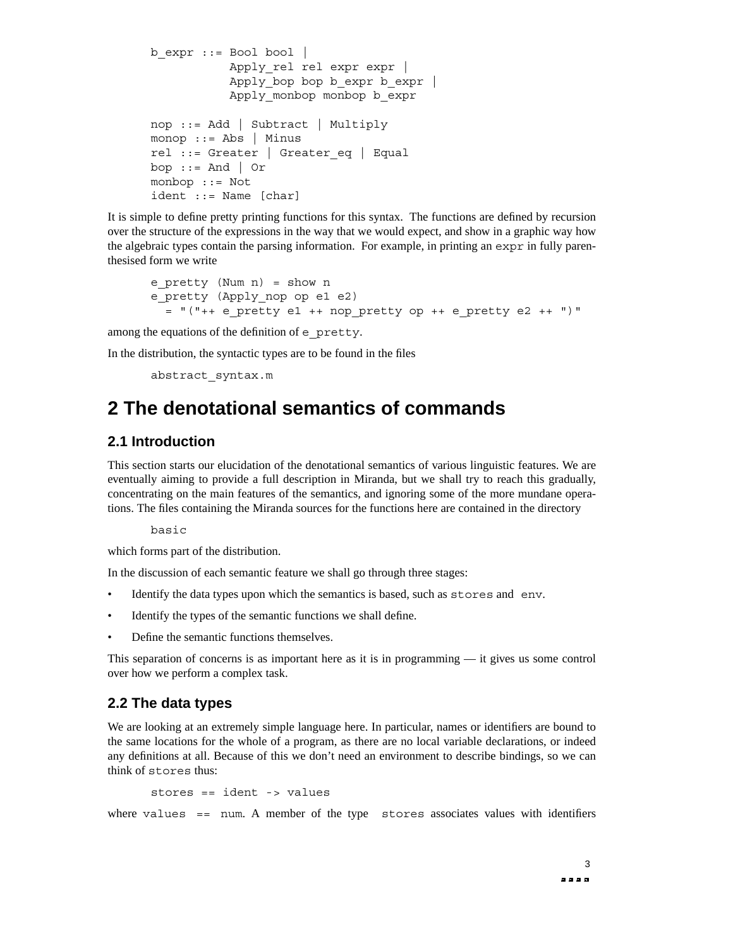```
b expr ::= Bool bool |Apply rel rel expr expr |
           Apply bop bop b expr b expr |
           Apply monbop monbop b expr
nop ::= Add | Subtract | Multiply
monop ::= Abs | Minus
rel ::= Greater | Greater_eq | Equal
bop := And \vert Or
monbop ::= Not
ident ::= Name [char]
```
It is simple to define pretty printing functions for this syntax. The functions are defined by recursion over the structure of the expressions in the way that we would expect, and show in a graphic way how the algebraic types contain the parsing information. For example, in printing an expr in fully parenthesised form we write

```
e pretty (Num n) = show n
e_pretty (Apply_nop op e1 e2)
 = "("++ e_pretty e1 ++ nop_pretty op ++ e_pretty e2 ++ ")"
```
among the equations of the definition of e\_pretty.

In the distribution, the syntactic types are to be found in the files

```
abstract_syntax.m
```
### **2 The denotational semantics of commands**

#### **2.1 Introduction**

This section starts our elucidation of the denotational semantics of various linguistic features. We are eventually aiming to provide a full description in Miranda, but we shall try to reach this gradually, concentrating on the main features of the semantics, and ignoring some of the more mundane operations. The files containing the Miranda sources for the functions here are contained in the directory

basic

which forms part of the distribution.

In the discussion of each semantic feature we shall go through three stages:

- Identify the data types upon which the semantics is based, such as stores and env.
- Identify the types of the semantic functions we shall define.
- Define the semantic functions themselves.

This separation of concerns is as important here as it is in programming  $-$  it gives us some control over how we perform a complex task.

#### **2.2 The data types**

We are looking at an extremely simple language here. In particular, names or identifiers are bound to the same locations for the whole of a program, as there are no local variable declarations, or indeed any definitions at all. Because of this we don't need an environment to describe bindings, so we can think of stores thus:

```
stores == ident -> values
```
where values  $==$  num. A member of the type stores associates values with identifiers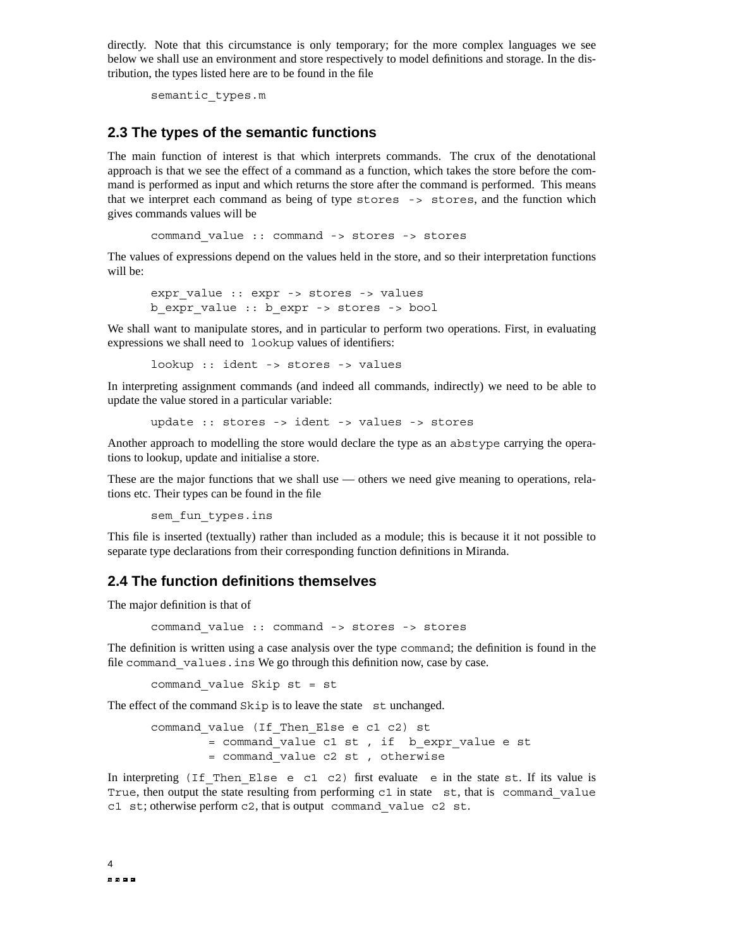directly. Note that this circumstance is only temporary; for the more complex languages we see below we shall use an environment and store respectively to model definitions and storage. In the distribution, the types listed here are to be found in the file

semantic\_types.m

#### **2.3 The types of the semantic functions**

The main function of interest is that which interprets commands. The crux of the denotational approach is that we see the effect of a command as a function, which takes the store before the command is performed as input and which returns the store after the command is performed. This means that we interpret each command as being of type stores -> stores, and the function which gives commands values will be

command\_value :: command -> stores -> stores

The values of expressions depend on the values held in the store, and so their interpretation functions will be:

```
expr value :: expr -> stores -> values
b_expr_value :: b_expr -> stores -> bool
```
We shall want to manipulate stores, and in particular to perform two operations. First, in evaluating expressions we shall need to lookup values of identifiers:

lookup :: ident -> stores -> values

In interpreting assignment commands (and indeed all commands, indirectly) we need to be able to update the value stored in a particular variable:

update :: stores -> ident -> values -> stores

Another approach to modelling the store would declare the type as an abstype carrying the operations to lookup, update and initialise a store.

These are the major functions that we shall use — others we need give meaning to operations, relations etc. Their types can be found in the file

sem fun types.ins

This file is inserted (textually) rather than included as a module; this is because it it not possible to separate type declarations from their corresponding function definitions in Miranda.

#### **2.4 The function definitions themselves**

The major definition is that of

command\_value :: command -> stores -> stores

The definition is written using a case analysis over the type command; the definition is found in the file command values.ins We go through this definition now, case by case.

command\_value Skip st = st

The effect of the command Skip is to leave the state st unchanged.

command\_value (If\_Then\_Else e c1 c2) st = command value c1 st, if b expr value e st = command\_value c2 st , otherwise

In interpreting (If Then Else e c1 c2) first evaluate e in the state st. If its value is True, then output the state resulting from performing  $c1$  in state st, that is command value c1 st; otherwise perform c2, that is output command\_value c2 st.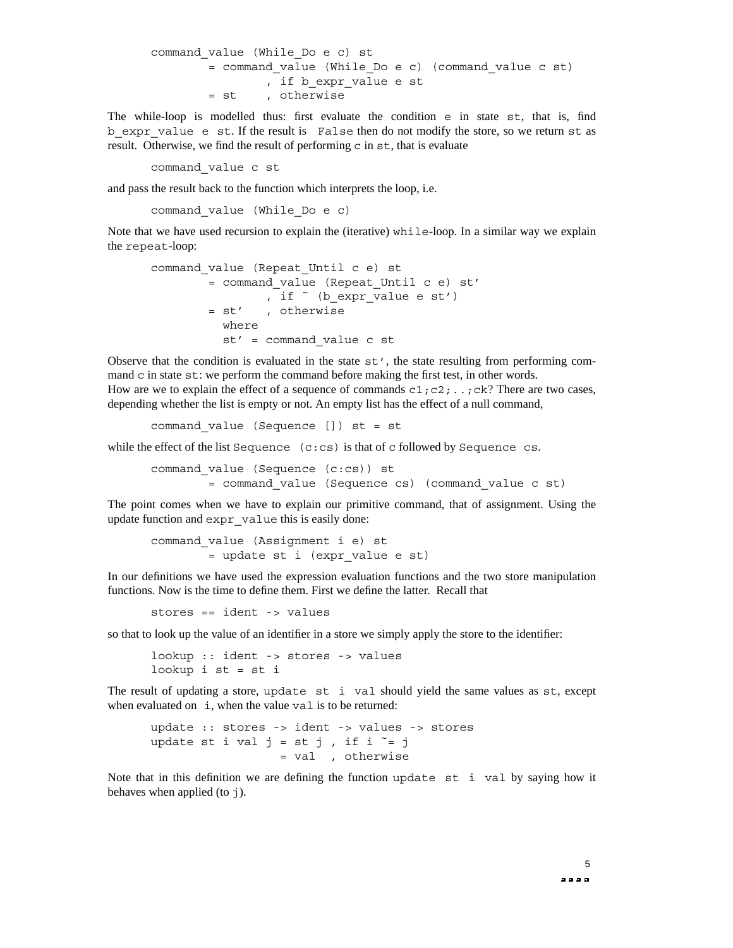```
command_value (While_Do e c) st
       = command_value (While_Do e c) (command_value c st)
               , if b expr value e st
       = st , otherwise
```
The while-loop is modelled thus: first evaluate the condition e in state st, that is, find b expr value e st. If the result is False then do not modify the store, so we return st as result. Otherwise, we find the result of performing c in  $st$ , that is evaluate

command\_value c st

and pass the result back to the function which interprets the loop, i.e.

command\_value (While\_Do e c)

Note that we have used recursion to explain the (iterative) while-loop. In a similar way we explain the repeat-loop:

```
command_value (Repeat_Until c e) st
        = command_value (Repeat_Until c e) st'
               , if \sim (b expr value e st')
        = st' , otherwise
          where
          st' = command_value c st
```
Observe that the condition is evaluated in the state  $st'$ , the state resulting from performing command c in state  $st$ : we perform the command before making the first test, in other words. How are we to explain the effect of a sequence of commands  $c1$ ; $c2$ ;..;ck? There are two cases, depending whether the list is empty or not. An empty list has the effect of a null command,

command\_value (Sequence []) st = st

while the effect of the list Sequence  $(c:cs)$  is that of c followed by Sequence cs.

command\_value (Sequence (c:cs)) st = command\_value (Sequence cs) (command\_value c st)

The point comes when we have to explain our primitive command, that of assignment. Using the update function and expr\_value this is easily done:

```
command_value (Assignment i e) st
        = update st i (expr_value e st)
```
In our definitions we have used the expression evaluation functions and the two store manipulation functions. Now is the time to define them. First we define the latter. Recall that

stores == ident -> values

so that to look up the value of an identifier in a store we simply apply the store to the identifier:

lookup :: ident -> stores -> values lookup i  $st = st i$ 

The result of updating a store, update st i val should yield the same values as st, except when evaluated on  $\pm$ , when the value value is to be returned:

update :: stores -> ident -> values -> stores update st i val  $j = st j$ , if i  $\tilde{i} = j$ = val , otherwise

Note that in this definition we are defining the function update st i val by saying how it behaves when applied (to  $\dagger$ ).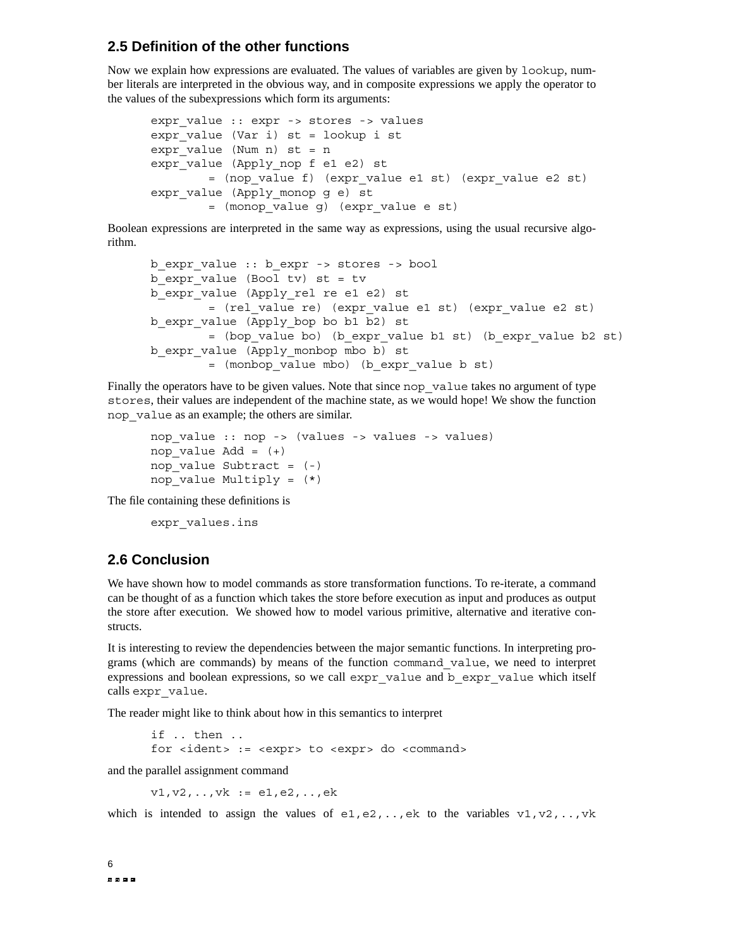#### **2.5 Definition of the other functions**

Now we explain how expressions are evaluated. The values of variables are given by lookup, number literals are interpreted in the obvious way, and in composite expressions we apply the operator to the values of the subexpressions which form its arguments:

```
expr value :: expr -> stores -> values
expr value (Var i) st = lookup i st
expr value (Num n) st = nexpr_value (Apply_nop_f_e1 e2) st
        = (nop_value f) (expr_value e1 st) (expr_value e2 st)
expr value (Apply monop q e) st
        = (monop_value g) (expr_value e st)
```
Boolean expressions are interpreted in the same way as expressions, using the usual recursive algorithm.

```
b_expr_value :: b_expr -> stores -> bool
b expr value (Bool tv) st = tvb_expr_value (Apply_rel re e1 e2) st
        = (rel_value re) (expr_value e1 st) (expr_value e2 st)
b_expr_value (Apply_bop bo b1 b2) st
        = (bop_value bo) (b_expr_value b1 st) (b_expr_value b2 st)
b_expr_value (Apply_monbop mbo b) st
        = (monbop_value mbo) (b_expr_value b st)
```
Finally the operators have to be given values. Note that since nop—value takes no argument of type stores, their values are independent of the machine state, as we would hope! We show the function nop\_value as an example; the others are similar.

```
nop_value :: nop -> (values -> values -> values)
nop value Add = (+)nop value Subtract = (-)nop value Multiply = (*)
```
The file containing these definitions is

```
expr_values.ins
```
#### **2.6 Conclusion**

We have shown how to model commands as store transformation functions. To re-iterate, a command can be thought of as a function which takes the store before execution as input and produces as output the store after execution. We showed how to model various primitive, alternative and iterative constructs.

It is interesting to review the dependencies between the major semantic functions. In interpreting programs (which are commands) by means of the function command\_value, we need to interpret expressions and boolean expressions, so we call expr\_value and b\_expr\_value which itself calls expr\_value.

The reader might like to think about how in this semantics to interpret

if .. then .. for <ident> := <expr> to <expr> do <command>

and the parallel assignment command

 $v1, v2, \ldots, vk := e1, e2, \ldots, ek$ 

which is intended to assign the values of  $e_1, e_2, \ldots, e_k$  to the variables  $v_1, v_2, \ldots, v_k$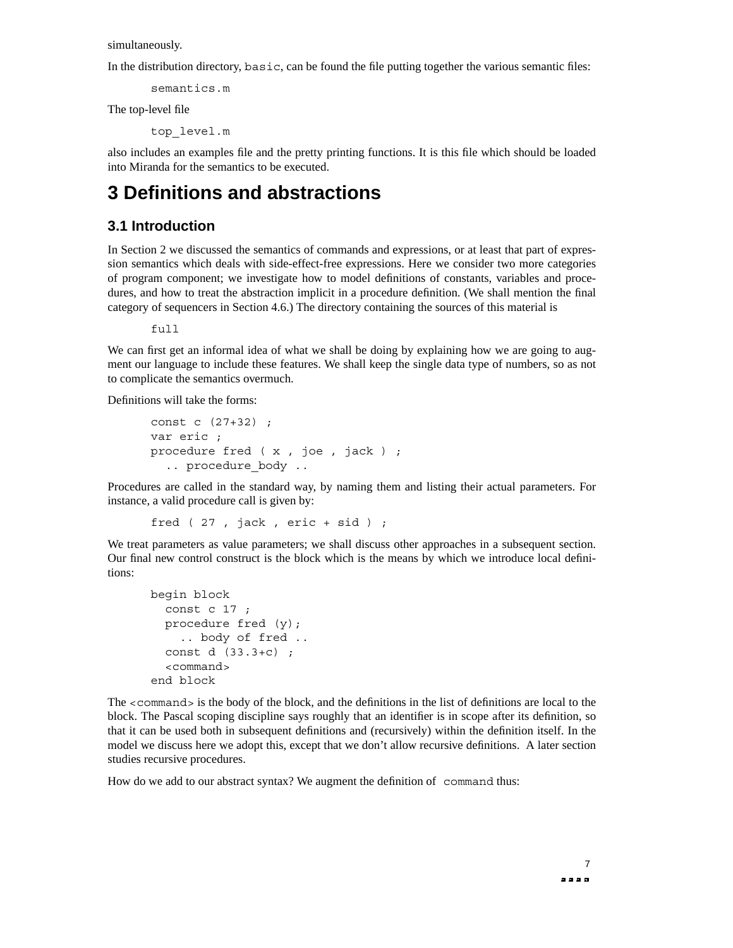simultaneously.

In the distribution directory, basic, can be found the file putting together the various semantic files:

semantics.m

The top-level file

top\_level.m

also includes an examples file and the pretty printing functions. It is this file which should be loaded into Miranda for the semantics to be executed.

### **3 Definitions and abstractions**

#### **3.1 Introduction**

In Section 2 we discussed the semantics of commands and expressions, or at least that part of expression semantics which deals with side-effect-free expressions. Here we consider two more categories of program component; we investigate how to model definitions of constants, variables and procedures, and how to treat the abstraction implicit in a procedure definition. (We shall mention the final category of sequencers in Section 4.6.) The directory containing the sources of this material is

full

We can first get an informal idea of what we shall be doing by explaining how we are going to augment our language to include these features. We shall keep the single data type of numbers, so as not to complicate the semantics overmuch.

Definitions will take the forms:

```
const c (27+32) ;
var eric ;
procedure fred ( x , joe , jack ) ;
  .. procedure_body ..
```
Procedures are called in the standard way, by naming them and listing their actual parameters. For instance, a valid procedure call is given by:

fred ( 27 , jack , eric + sid ) ;

We treat parameters as value parameters; we shall discuss other approaches in a subsequent section. Our final new control construct is the block which is the means by which we introduce local definitions:

```
begin block
  const c 17 ;
  procedure fred (y);
    .. body of fred ..
  const d (33.3+c) ;
  <command>
end block
```
The  $\leq$ command $\geq$  is the body of the block, and the definitions in the list of definitions are local to the block. The Pascal scoping discipline says roughly that an identifier is in scope after its definition, so that it can be used both in subsequent definitions and (recursively) within the definition itself. In the model we discuss here we adopt this, except that we don't allow recursive definitions. A later section studies recursive procedures.

How do we add to our abstract syntax? We augment the definition of command thus: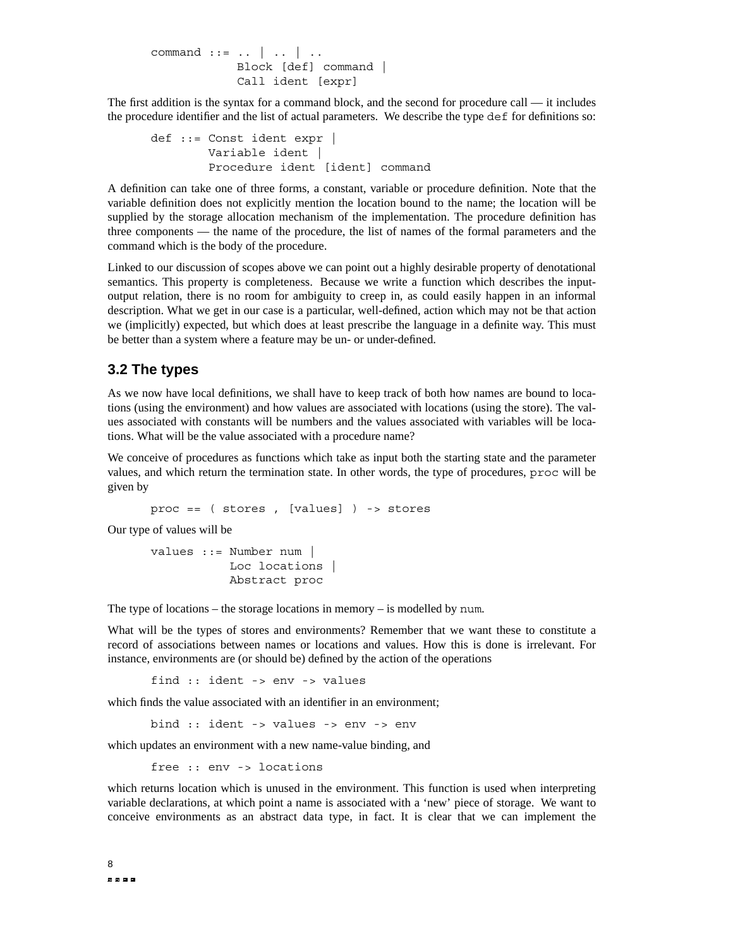```
command ::= .. | .. | ..
           Block [def] command |
            Call ident [expr]
```
The first addition is the syntax for a command block, and the second for procedure call — it includes the procedure identifier and the list of actual parameters. We describe the type def for definitions so:

```
def ::= Const ident expr |
        Variable ident |
        Procedure ident [ident] command
```
A definition can take one of three forms, a constant, variable or procedure definition. Note that the variable definition does not explicitly mention the location bound to the name; the location will be supplied by the storage allocation mechanism of the implementation. The procedure definition has three components — the name of the procedure, the list of names of the formal parameters and the command which is the body of the procedure.

Linked to our discussion of scopes above we can point out a highly desirable property of denotational semantics. This property is completeness. Because we write a function which describes the inputoutput relation, there is no room for ambiguity to creep in, as could easily happen in an informal description. What we get in our case is a particular, well-defined, action which may not be that action we (implicitly) expected, but which does at least prescribe the language in a definite way. This must be better than a system where a feature may be un- or under-defined.

#### **3.2 The types**

As we now have local definitions, we shall have to keep track of both how names are bound to locations (using the environment) and how values are associated with locations (using the store). The values associated with constants will be numbers and the values associated with variables will be locations. What will be the value associated with a procedure name?

We conceive of procedures as functions which take as input both the starting state and the parameter values, and which return the termination state. In other words, the type of procedures, proc will be given by

proc == ( stores , [values] ) -> stores

Our type of values will be

```
values ::= Number num |
          Loc locations |
           Abstract proc
```
The type of locations – the storage locations in memory – is modelled by num.

What will be the types of stores and environments? Remember that we want these to constitute a record of associations between names or locations and values. How this is done is irrelevant. For instance, environments are (or should be) defined by the action of the operations

find :: ident -> env -> values

which finds the value associated with an identifier in an environment:

bind :: ident -> values -> env -> env

which updates an environment with a new name-value binding, and

free :: env -> locations

which returns location which is unused in the environment. This function is used when interpreting variable declarations, at which point a name is associated with a 'new' piece of storage. We want to conceive environments as an abstract data type, in fact. It is clear that we can implement the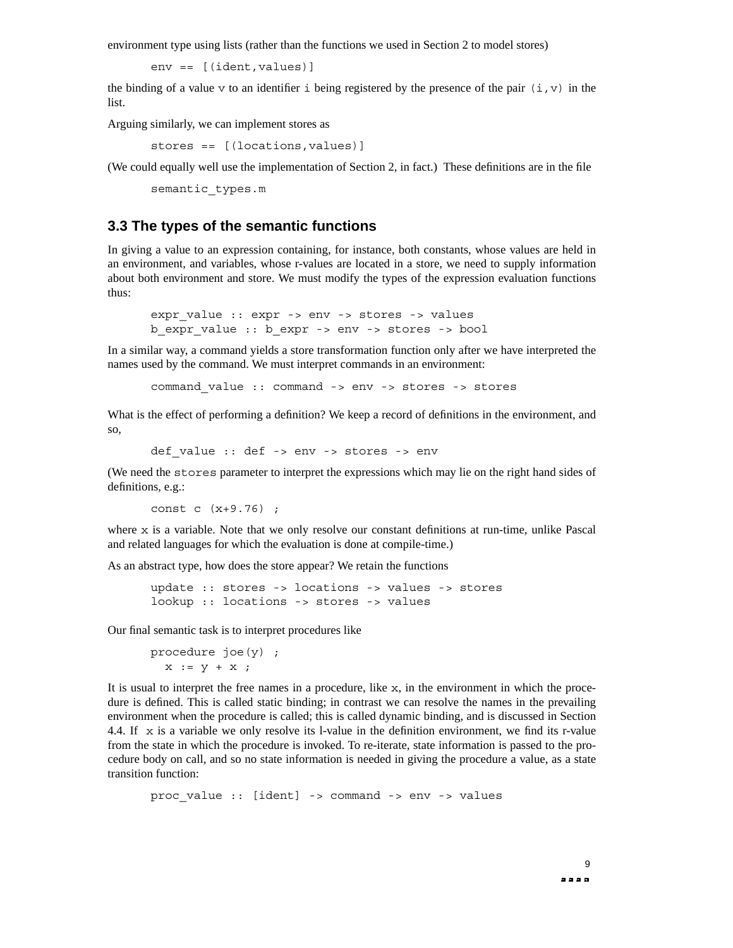environment type using lists (rather than the functions we used in Section 2 to model stores)

env == [(ident,values)]

the binding of a value v to an identifier i being registered by the presence of the pair  $(i, v)$  in the list.

Arguing similarly, we can implement stores as

stores == [(locations,values)]

(We could equally well use the implementation of Section 2, in fact.) These definitions are in the file

semantic\_types.m

#### **3.3 The types of the semantic functions**

In giving a value to an expression containing, for instance, both constants, whose values are held in an environment, and variables, whose r-values are located in a store, we need to supply information about both environment and store. We must modify the types of the expression evaluation functions thus:

```
expr value :: expr -> env -> stores -> values
b_expr_value :: b_expr -> env -> stores -> bool
```
In a similar way, a command yields a store transformation function only after we have interpreted the names used by the command. We must interpret commands in an environment:

command\_value :: command -> env -> stores -> stores

What is the effect of performing a definition? We keep a record of definitions in the environment, and so,

```
def value :: def -> env -> stores -> env
```
(We need the stores parameter to interpret the expressions which may lie on the right hand sides of definitions, e.g.:

const c (x+9.76) ;

where  $x$  is a variable. Note that we only resolve our constant definitions at run-time, unlike Pascal and related languages for which the evaluation is done at compile-time.)

As an abstract type, how does the store appear? We retain the functions

```
update :: stores -> locations -> values -> stores
lookup :: locations -> stores -> values
```
Our final semantic task is to interpret procedures like

procedure joe(y) ;  $x := y + x$ ;

It is usual to interpret the free names in a procedure, like  $x$ , in the environment in which the procedure is defined. This is called static binding; in contrast we can resolve the names in the prevailing environment when the procedure is called; this is called dynamic binding, and is discussed in Section 4.4. If  $x$  is a variable we only resolve its l-value in the definition environment, we find its r-value from the state in which the procedure is invoked. To re-iterate, state information is passed to the procedure body on call, and so no state information is needed in giving the procedure a value, as a state transition function:

```
proc_value :: [ident] -> command -> env -> values
```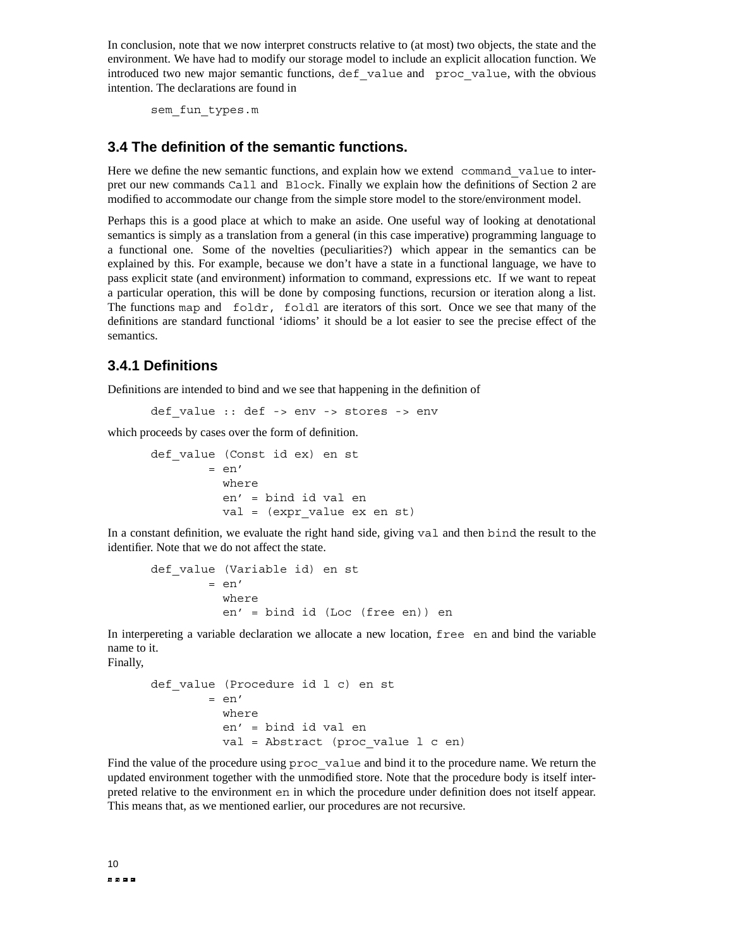In conclusion, note that we now interpret constructs relative to (at most) two objects, the state and the environment. We have had to modify our storage model to include an explicit allocation function. We introduced two new major semantic functions, def\_value and proc\_value, with the obvious intention. The declarations are found in

sem\_fun\_types.m

#### **3.4 The definition of the semantic functions.**

Here we define the new semantic functions, and explain how we extend command value to interpret our new commands Call and Block. Finally we explain how the definitions of Section 2 are modified to accommodate our change from the simple store model to the store/environment model.

Perhaps this is a good place at which to make an aside. One useful way of looking at denotational semantics is simply as a translation from a general (in this case imperative) programming language to a functional one. Some of the novelties (peculiarities?) which appear in the semantics can be explained by this. For example, because we don't have a state in a functional language, we have to pass explicit state (and environment) information to command, expressions etc. If we want to repeat a particular operation, this will be done by composing functions, recursion or iteration along a list. The functions map and foldr, foldl are iterators of this sort. Once we see that many of the definitions are standard functional 'idioms' it should be a lot easier to see the precise effect of the semantics.

#### **3.4.1 Definitions**

Definitions are intended to bind and we see that happening in the definition of

def value :: def -> env -> stores -> env

which proceeds by cases over the form of definition.

def\_value (Const id ex) en st  $=$  en' where en' = bind id val en val = (expr\_value ex en st)

In a constant definition, we evaluate the right hand side, giving val and then bind the result to the identifier. Note that we do not affect the state.

```
def value (Variable id) en st
        = en'
          where
          en' = bind id (Loc (free en)) en
```
In interpereting a variable declaration we allocate a new location, free en and bind the variable name to it.

Finally,

```
def value (Procedure id l c) en st
       = en'where
          en' = bind id val en
          val = Abstract (proc value 1 c en)
```
Find the value of the procedure using proc\_value and bind it to the procedure name. We return the updated environment together with the unmodified store. Note that the procedure body is itself interpreted relative to the environment en in which the procedure under definition does not itself appear. This means that, as we mentioned earlier, our procedures are not recursive.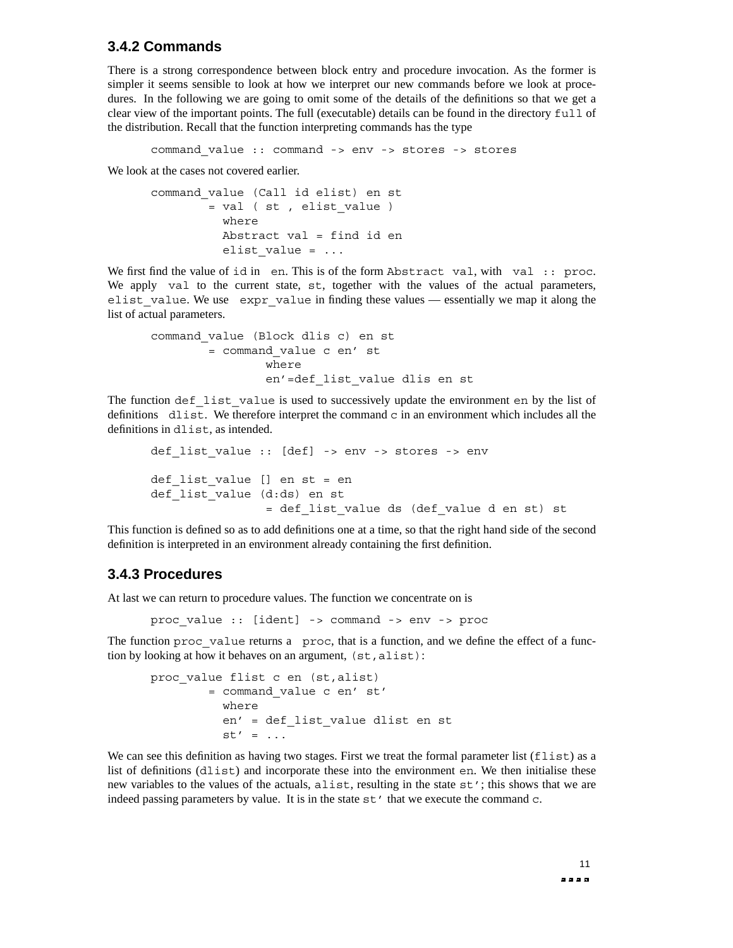#### **3.4.2 Commands**

There is a strong correspondence between block entry and procedure invocation. As the former is simpler it seems sensible to look at how we interpret our new commands before we look at procedures. In the following we are going to omit some of the details of the definitions so that we get a clear view of the important points. The full (executable) details can be found in the directory full of the distribution. Recall that the function interpreting commands has the type

command\_value :: command -> env -> stores -> stores

We look at the cases not covered earlier.

command\_value (Call id elist) en st = val ( st , elist\_value ) where Abstract val = find id en elist\_value = ...

We first find the value of id in en. This is of the form Abstract val, with val :: proc. We apply val to the current state, st, together with the values of the actual parameters, elist value. We use expr value in finding these values — essentially we map it along the list of actual parameters.

```
command_value (Block dlis c) en st
       = command_value c en' st
               where
                en'=def_list_value dlis en st
```
The function def list value is used to successively update the environment en by the list of definitions  $dlist$ . We therefore interpret the command  $c$  in an environment which includes all the definitions in dlist, as intended.

```
def list value :: [def] -> env -> stores -> env
def list value [] en st = en
def list value (d:ds) en st
                = def_list_value ds (def_value d en st) st
```
This function is defined so as to add definitions one at a time, so that the right hand side of the second definition is interpreted in an environment already containing the first definition.

#### **3.4.3 Procedures**

At last we can return to procedure values. The function we concentrate on is

proc\_value :: [ident] -> command -> env -> proc

The function proc value returns a proc, that is a function, and we define the effect of a function by looking at how it behaves on an argument,  $(st,alist)$ :

```
proc_value flist c en (st,alist)
        = command_value c en' st'
          where
          en' = def_list_value dlist en st
          st' = ...
```
We can see this definition as having two stages. First we treat the formal parameter list  $(flist)$  as a list of definitions (dlist) and incorporate these into the environment en. We then initialise these new variables to the values of the actuals, alist, resulting in the state st'; this shows that we are indeed passing parameters by value. It is in the state  $st'$  that we execute the command  $c$ .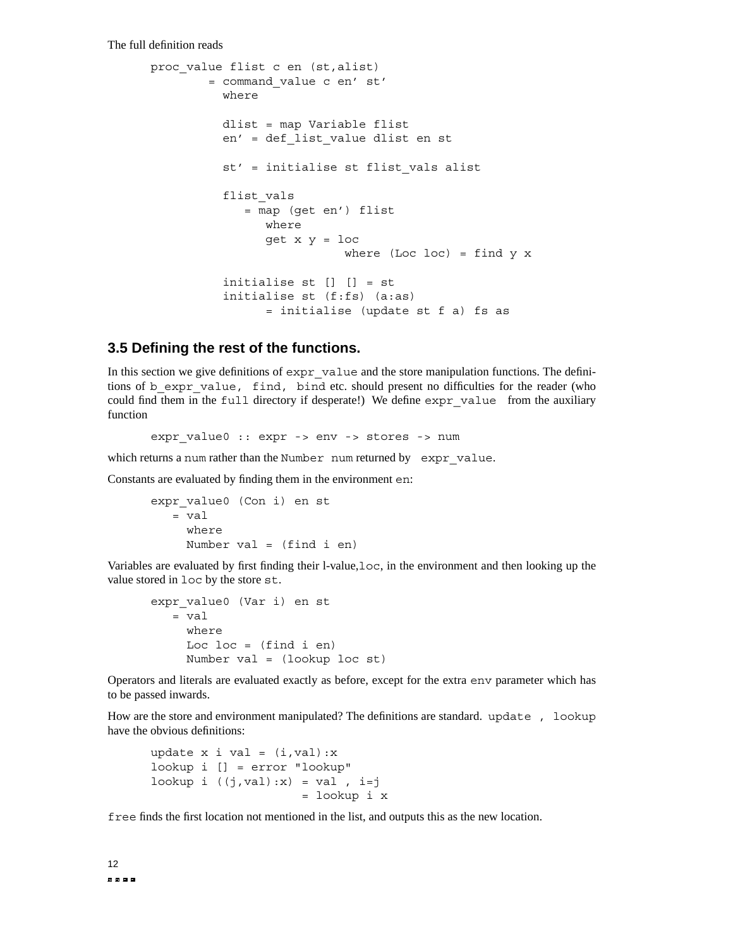The full definition reads

```
proc_value flist c en (st,alist)
        = command_value c en' st'
          where
          dlist = map Variable flist
          en' = def_list_value dlist en st
          st' = initialise st flist_vals alist
          flist_vals
             = map (get en') flist
                where
                get x y = loc
                           where (Loc loc) = find y xinitialise st [] [] = st
          initialise st (f:fs) (a:as)
                = initialise (update st f a) fs as
```
#### **3.5 Defining the rest of the functions.**

In this section we give definitions of  $\exp r$  value and the store manipulation functions. The definitions of b\_expr\_value, find, bind etc. should present no difficulties for the reader (who could find them in the full directory if desperate!) We define expr\_value from the auxiliary function

expr value0 :: expr -> env -> stores -> num

which returns a num rather than the Number num returned by  $\exp r$  value.

Constants are evaluated by finding them in the environment en:

```
expr_value0 (Con i) en st
  = val
     where
     Number val = (find i en)
```
Variables are evaluated by first finding their l-value,loc, in the environment and then looking up the value stored in loc by the store st.

```
expr_value0 (Var i) en st
   = val
     where
     Loc loc = (find i en)Number val = (lookup loc st)
```
Operators and literals are evaluated exactly as before, except for the extra env parameter which has to be passed inwards.

How are the store and environment manipulated? The definitions are standard. update, lookup have the obvious definitions:

```
update x i val = (i, val):xlookup i [] = error "lookup"
lookup i ((j, val):x) = val, i=j= lookup i x
```
free finds the first location not mentioned in the list, and outputs this as the new location.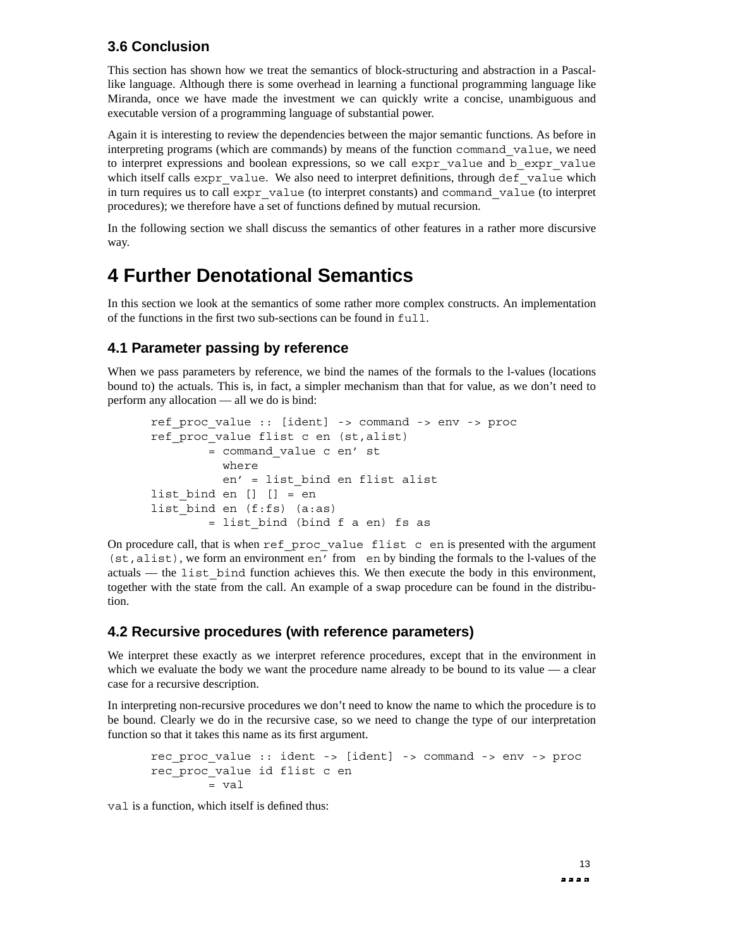#### **3.6 Conclusion**

This section has shown how we treat the semantics of block-structuring and abstraction in a Pascallike language. Although there is some overhead in learning a functional programming language like Miranda, once we have made the investment we can quickly write a concise, unambiguous and executable version of a programming language of substantial power.

Again it is interesting to review the dependencies between the major semantic functions. As before in interpreting programs (which are commands) by means of the function command\_value, we need to interpret expressions and boolean expressions, so we call expr\_value and b\_expr\_value which itself calls expr\_value. We also need to interpret definitions, through def\_value which in turn requires us to call expr\_value (to interpret constants) and command\_value (to interpret procedures); we therefore have a set of functions defined by mutual recursion.

In the following section we shall discuss the semantics of other features in a rather more discursive way.

### **4 Fur ther Denotational Semantics**

In this section we look at the semantics of some rather more complex constructs. An implementation of the functions in the first two sub-sections can be found in full.

#### **4.1 Parameter passing by reference**

When we pass parameters by reference, we bind the names of the formals to the l-values (locations bound to) the actuals. This is, in fact, a simpler mechanism than that for value, as we don't need to perform any allocation — all we do is bind:

```
ref_proc_value :: [ident] -> command -> env -> proc
ref_proc_value flist c en (st,alist)
        = command_value c en' st
         where
          en' = list_bind en flist alist
list bind en [] [] = en
list bind en (f:fs) (a:as)= list_bind (bind f a en) fs as
```
On procedure call, that is when ref proc value flist c en is presented with the argument (st,alist), we form an environment en' from en by binding the formals to the l-values of the actuals — the list bind function achieves this. We then execute the body in this environment, together with the state from the call. An example of a swap procedure can be found in the distribution.

#### **4.2 Recursive procedures (with reference parameters)**

We interpret these exactly as we interpret reference procedures, except that in the environment in which we evaluate the body we want the procedure name already to be bound to its value  $\overline{a}$  a clear case for a recursive description.

In interpreting non-recursive procedures we don't need to know the name to which the procedure is to be bound. Clearly we do in the recursive case, so we need to change the type of our interpretation function so that it takes this name as its first argument.

```
rec_proc_value :: ident -> [ident] -> command -> env -> proc
rec_proc_value id flist c en
        = \text{val}
```
val is a function, which itself is defined thus: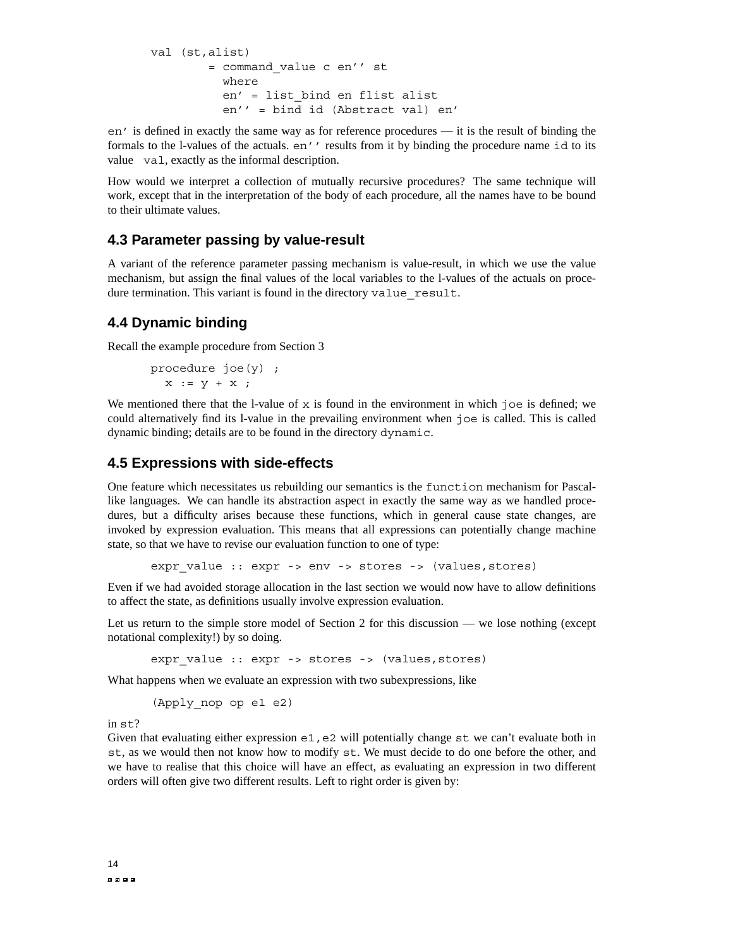```
val (st,alist)
        = command_value c en'' st
          where
          en' = list_bind en flist alist
          en'' = bind id (Abstract val) en'
```
en' is defined in exactly the same way as for reference procedures — it is the result of binding the formals to the l-values of the actuals. en'' results from it by binding the procedure name id to its value val, exactly as the informal description.

How would we interpret a collection of mutually recursive procedures? The same technique will work, except that in the interpretation of the body of each procedure, all the names have to be bound to their ultimate values.

#### **4.3 Parameter passing by value-result**

A variant of the reference parameter passing mechanism is value-result, in which we use the value mechanism, but assign the final values of the local variables to the l-values of the actuals on procedure termination. This variant is found in the directory value result.

#### **4.4 Dynamic binding**

Recall the example procedure from Section 3

procedure joe(y) ;  $x := y + x$ ;

We mentioned there that the l-value of  $x$  is found in the environment in which joe is defined; we could alternatively find its l-value in the prevailing environment when joe is called. This is called dynamic binding; details are to be found in the directory dynamic.

#### **4.5 Expressions with side-effects**

One feature which necessitates us rebuilding our semantics is the function mechanism for Pascallike languages. We can handle its abstraction aspect in exactly the same way as we handled procedures, but a difficulty arises because these functions, which in general cause state changes, are invoked by expression evaluation. This means that all expressions can potentially change machine state, so that we have to revise our evaluation function to one of type:

expr value :: expr -> env -> stores -> (values, stores)

Even if we had avoided storage allocation in the last section we would now have to allow definitions to affect the state, as definitions usually involve expression evaluation.

Let us return to the simple store model of Section 2 for this discussion — we lose nothing (except notational complexity!) by so doing.

expr value :: expr -> stores -> (values, stores)

What happens when we evaluate an expression with two subexpressions, like

(Apply\_nop op e1 e2)

in st?

Given that evaluating either expression  $e1$ ,  $e2$  will potentially change  $st$  we can't evaluate both in st, as we would then not know how to modify st. We must decide to do one before the other, and we have to realise that this choice will have an effect, as evaluating an expression in two different orders will often give two different results. Left to right order is given by: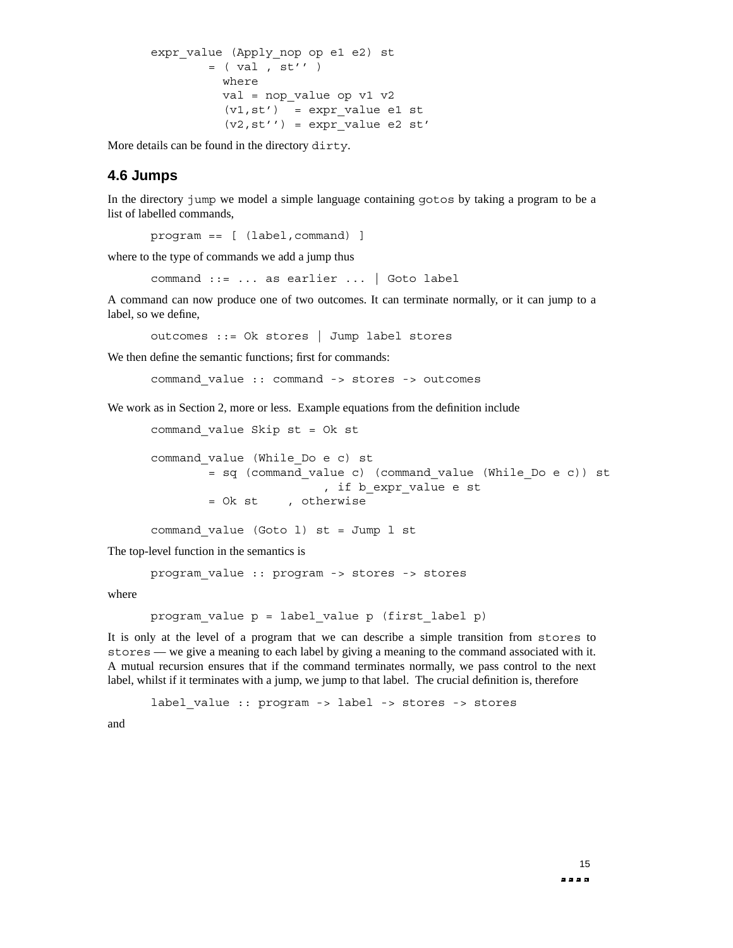```
expr value (Apply nop op e1 e2) st
        = ( val , st'' )
         where
          val = nop_value op v1 v2
          (v1, st') = expr value e1 st
          (v2, st'') = expr value e2 st'
```
More details can be found in the directory dirty.

#### **4.6 Jumps**

In the directory jump we model a simple language containing gotos by taking a program to be a list of labelled commands,

program == [ (label,command) ]

where to the type of commands we add a jump thus

command ::= ... as earlier ... | Goto label

A command can now produce one of two outcomes. It can terminate normally, or it can jump to a label, so we define,

outcomes ::= Ok stores | Jump label stores

We then define the semantic functions; first for commands:

command\_value :: command -> stores -> outcomes

We work as in Section 2, more or less. Example equations from the definition include

```
command_value Skip st = Ok st
command_value (While_Do e c) st
       = sq (command_value c) (command_value (While_Do e c)) st
                        , if b_expr_value e st
       = Ok st , otherwise
command value (Goto l) st = Jump l st
```
The top-level function in the semantics is

program\_value :: program -> stores -> stores

where

```
program value p = label value p (first label p)
```
It is only at the level of a program that we can describe a simple transition from stores to stores — we give a meaning to each label by giving a meaning to the command associated with it. A mutual recursion ensures that if the command terminates normally, we pass control to the next label, whilst if it terminates with a jump, we jump to that label. The crucial definition is, therefore

label value :: program -> label -> stores -> stores

and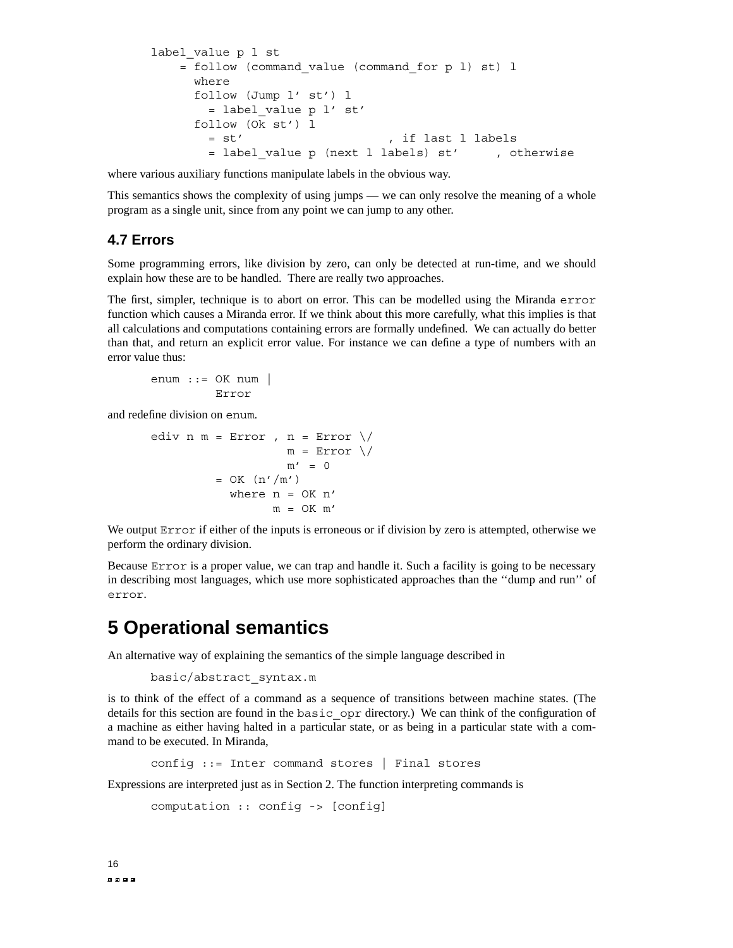```
label value p l st
   = follow (command_value (command_for p l) st) l
     where
     follow (Jump l' st') l
       = label_value p l' st'
     follow (Ok st') l
       = st' , if last l labels
       = label value p (next l labels) st' , otherwise
```
where various auxiliary functions manipulate labels in the obvious way.

This semantics shows the complexity of using jumps — we can only resolve the meaning of a whole program as a single unit, since from any point we can jump to any other.

#### **4.7 Errors**

Some programming errors, like division by zero, can only be detected at run-time, and we should explain how these are to be handled. There are really two approaches.

The first, simpler, technique is to abort on error. This can be modelled using the Miranda error function which causes a Miranda error. If we think about this more carefully, what this implies is that all calculations and computations containing errors are formally undefined. We can actually do better than that, and return an explicit error value. For instance we can define a type of numbers with an error value thus:

```
enum ::= OK num \vertError
```
and redefine division on enum.

```
ediv n = Error, n = Error \ \midm = Error \ \mid /m' = 0= OK (n'/m')where n = OK n'm = OK m'
```
We output Error if either of the inputs is erroneous or if division by zero is attempted, otherwise we perform the ordinary division.

Because Error is a proper value, we can trap and handle it. Such a facility is going to be necessary in describing most languages, which use more sophisticated approaches than the ''dump and run'' of error.

### **5 Operational semantics**

An alternative way of explaining the semantics of the simple language described in

```
basic/abstract_syntax.m
```
is to think of the effect of a command as a sequence of transitions between machine states. (The details for this section are found in the basic opr directory.) We can think of the configuration of a machine as either having halted in a particular state, or as being in a particular state with a command to be executed. In Miranda,

config ::= Inter command stores | Final stores

Expressions are interpreted just as in Section 2. The function interpreting commands is

```
computation :: config -> [config]
```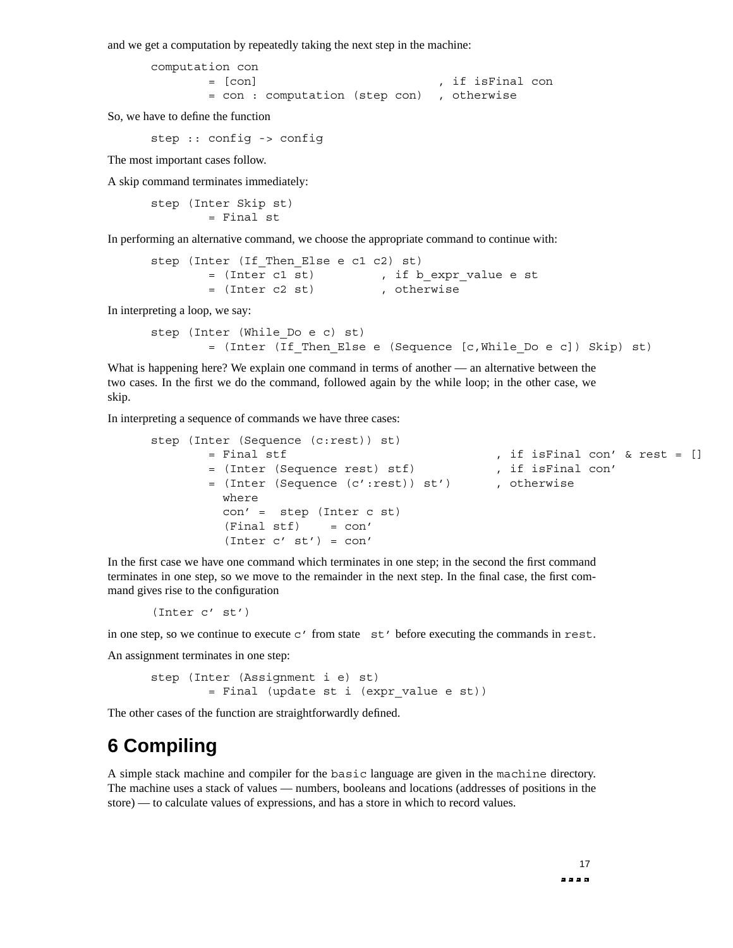and we get a computation by repeatedly taking the next step in the machine:

computation con = [con] , if isFinal con = con : computation (step con) , otherwise

So, we have to define the function

step :: config -> config

The most important cases follow.

A skip command terminates immediately:

step (Inter Skip st) = Final st

In performing an alternative command, we choose the appropriate command to continue with:

step (Inter (If Then Else e c1 c2) st) = (Inter c1 st) , if b\_expr\_value e st = (Inter c2 st) , otherwise

In interpreting a loop, we say:

```
step (Inter (While_Do e c) st)
        = (Inter (If_Then_Else e (Sequence [c,While_Do e c]) Skip) st)
```
What is happening here? We explain one command in terms of another — an alternative between the two cases. In the first we do the command, followed again by the while loop; in the other case, we skip.

In interpreting a sequence of commands we have three cases:

```
step (Inter (Sequence (c:rest)) st)
      = Final stf , if isFinal con' & rest = []
      = (Inter (Sequence rest) stf) , if isFinal con'
      = (Inter (Sequence (c':rest)) st') , otherwise
        where
        con' = step (Inter c st)
        (Final stf) = con'(Inter c' st') = con'
```
In the first case we have one command which terminates in one step; in the second the first command terminates in one step, so we move to the remainder in the next step. In the final case, the first command gives rise to the configuration

(Inter c' st')

in one step, so we continue to execute  $c'$  from state  $st'$  before executing the commands in rest.

An assignment terminates in one step:

step (Inter (Assignment i e) st) = Final (update st i (expr\_value e st))

The other cases of the function are straightforwardly defined.

### **6 Compiling**

A simple stack machine and compiler for the basic language are given in the machine directory. The machine uses a stack of values — numbers, booleans and locations (addresses of positions in the store) — to calculate values of expressions, and has a store in which to record values.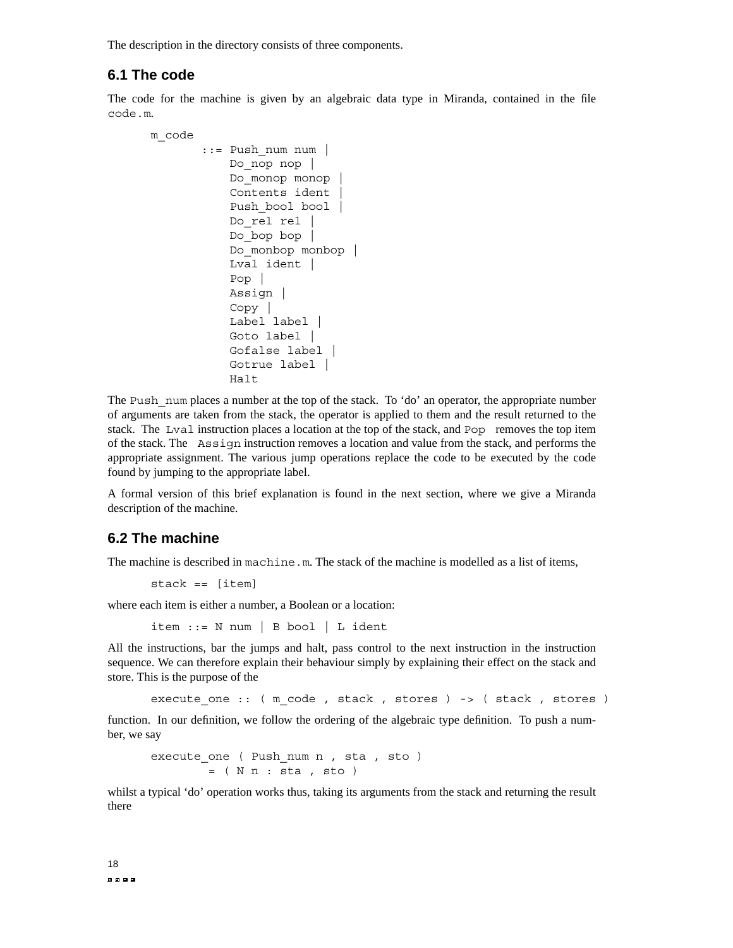The description in the directory consists of three components.

#### **6.1 The code**

The code for the machine is given by an algebraic data type in Miranda, contained in the file code.m.

```
m_code
       ::= Push_num num |
          Do nop nop |
           Do_monop monop |
           Contents ident |
           Push bool bool |
           Do rel rel |
           Do bop bop |
           Do monbop monbop |
           Lval ident |
           Pop |
           Assign |
           Copy |
           Label label |
           Goto label |
           Gofalse label |
           Gotrue label |
           Halt
```
The Push num places a number at the top of the stack. To 'do' an operator, the appropriate number of arguments are taken from the stack, the operator is applied to them and the result returned to the stack. The Lval instruction places a location at the top of the stack, and Pop removes the top item of the stack. The Assign instruction removes a location and value from the stack, and performs the appropriate assignment. The various jump operations replace the code to be executed by the code found by jumping to the appropriate label.

A formal version of this brief explanation is found in the next section, where we give a Miranda description of the machine.

#### **6.2 The machine**

The machine is described in machine.m. The stack of the machine is modelled as a list of items,

```
stack == [item]
```
where each item is either a number, a Boolean or a location:

item ::= N num | B bool | L ident

All the instructions, bar the jumps and halt, pass control to the next instruction in the instruction sequence. We can therefore explain their behaviour simply by explaining their effect on the stack and store. This is the purpose of the

execute one :: ( m code , stack , stores ) -> ( stack , stores )

function. In our definition, we follow the ordering of the algebraic type definition. To push a number, we say

```
execute one ( Push num n , sta , sto )
        = ( N n : sta , sto )
```
whilst a typical 'do' operation works thus, taking its arguments from the stack and returning the result there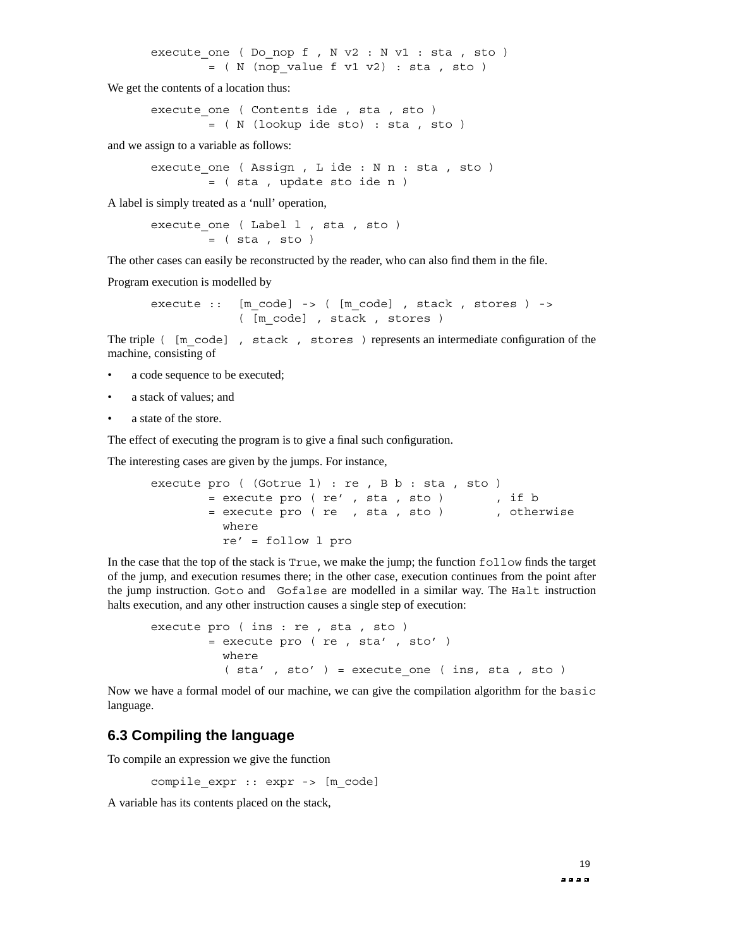execute one ( Do nop f , N v2 : N v1 : sta , sto )  $=$  (N (nop value f v1 v2) : sta , sto )

We get the contents of a location thus:

```
execute one ( Contents ide , sta , sto )
       =(N(lookup ide sto) : sta , sto )
```
and we assign to a variable as follows:

execute one ( Assign , L ide : N n : sta , sto ) = ( sta , update sto ide n )

A label is simply treated as a 'null' operation,

execute one ( Label 1, sta , sto )  $=$  ( $sta$ ,  $sto$ )

The other cases can easily be reconstructed by the reader, who can also find them in the file.

Program execution is modelled by

execute  $::$  [m code] -> ( [m code] , stack , stores ) -> ( [m\_code] , stack , stores )

The triple ( $[m \text{ code}]$ , stack, stores ) represents an intermediate configuration of the machine, consisting of

- a code sequence to be executed;
- a stack of values; and
- a state of the store.

The effect of executing the program is to give a final such configuration.

The interesting cases are given by the jumps. For instance,

```
execute pro ( (Gotrue l) : re , B b : sta , sto )
       = execute pro ( re' , sta , sto ) , if b
       = execute pro ( re , sta , sto ) , otherwise
         where
         re' = follow l pro
```
In the case that the top of the stack is True, we make the jump; the function follow finds the target of the jump, and execution resumes there; in the other case, execution continues from the point after the jump instruction. Goto and Gofalse are modelled in a similar way. The Halt instruction halts execution, and any other instruction causes a single step of execution:

```
execute pro ( ins : re , sta , sto )
        = execute pro ( re , sta' , sto' )
         where
          (sta', sto' ) = execute one ( ins, sta , sto )
```
Now we have a formal model of our machine, we can give the compilation algorithm for the basic language.

#### **6.3 Compiling the language**

To compile an expression we give the function

compile expr :: expr -> [m code]

A variable has its contents placed on the stack,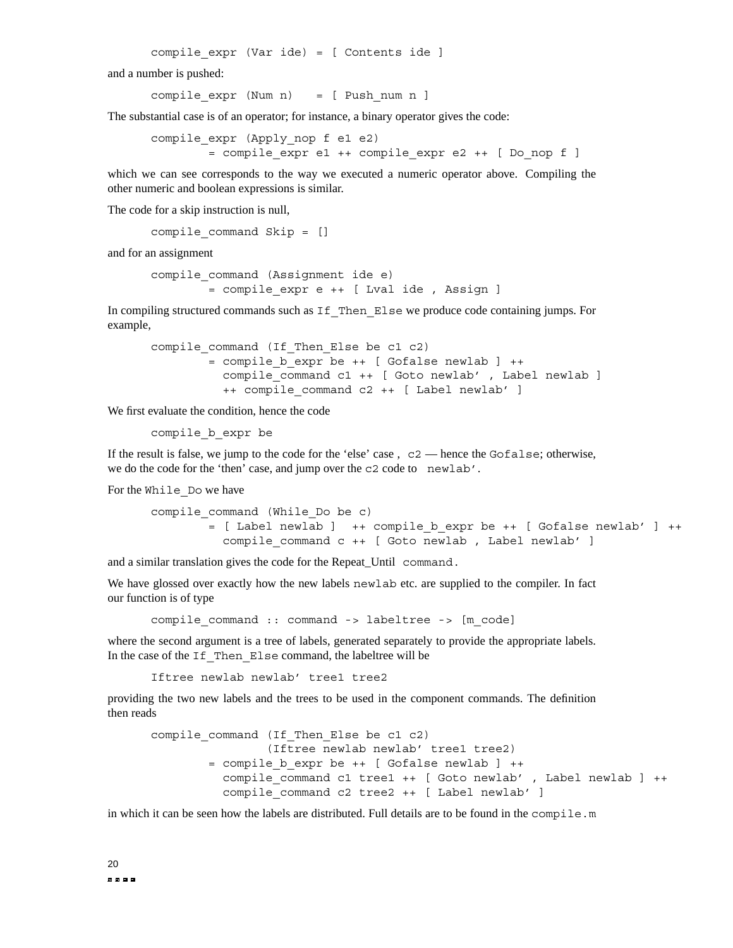compile expr (Var ide) = [ Contents ide ]

and a number is pushed:

compile  $expr (Num n) = [ Push num n ]$ 

The substantial case is of an operator; for instance, a binary operator gives the code:

compile expr (Apply nop f e1 e2) = compile\_expr e1 ++ compile\_expr e2 ++ [ Do\_nop f ]

which we can see corresponds to the way we executed a numeric operator above. Compiling the other numeric and boolean expressions is similar.

The code for a skip instruction is null,

compile command Skip = []

and for an assignment

```
compile_command (Assignment ide e)
        = compile_expr e ++ [ Lval ide , Assign ]
```
In compiling structured commands such as If Then Else we produce code containing jumps. For example,

```
compile command (If Then Else be c1 c2)
        = compile b expr be ++ [ Gofalse newlab ] ++compile command c1 ++ [ Goto newlab' , Label newlab ]
         ++ compile command c2 ++ [ Label newlab' ]
```
We first evaluate the condition, hence the code

compile\_b\_expr be

If the result is false, we jump to the code for the 'else' case , c2 — hence the Gofalse; otherwise, we do the code for the 'then' case, and jump over the c2 code to newlab'.

For the While\_Do we have

```
compile_command (While_Do be c)
        = [ Label newlab ] ++ compile b expr be ++ [ Gofalse newlab' ] ++
          compile command c ++ [ Goto newlab , Label newlab' ]
```
and a similar translation gives the code for the Repeat Until command.

We have glossed over exactly how the new labels newlab etc. are supplied to the compiler. In fact our function is of type

compile command :: command -> labeltree -> [m code]

where the second argument is a tree of labels, generated separately to provide the appropriate labels. In the case of the If Then Else command, the labeltree will be

Iftree newlab newlab' tree1 tree2

providing the two new labels and the trees to be used in the component commands. The definition then reads

```
compile command (If Then Else be c1 c2)
                (Iftree newlab newlab' tree1 tree2)
        = compile b expr be ++ [ Gofalse newlab ] ++compile command c1 tree1 ++ [ Goto newlab' , Label newlab ] ++
          compile command c2 tree2 ++ [ Label newlab' ]
```
in which it can be seen how the labels are distributed. Full details are to be found in the compile.m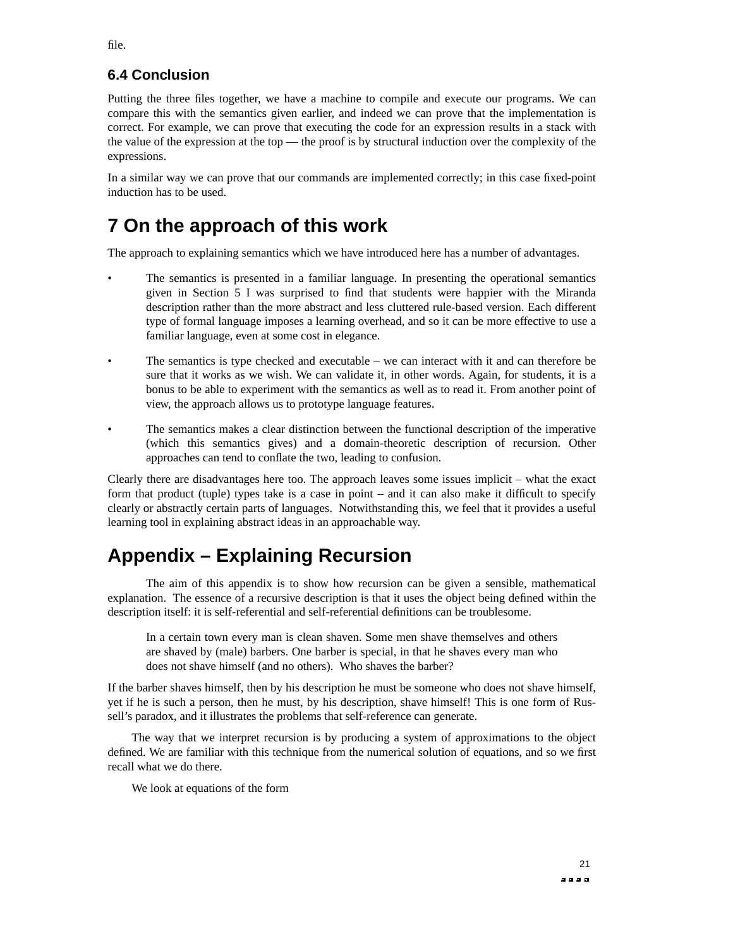#### **6.4 Conclusion**

Putting the three files together, we have a machine to compile and execute our programs. We can compare this with the semantics given earlier, and indeed we can prove that the implementation is correct. For example, we can prove that executing the code for an expression results in a stack with the value of the expression at the top — the proof is by structural induction over the complexity of the expressions.

In a similar way we can prove that our commands are implemented correctly; in this case fixed-point induction has to be used.

### **7 On the approach of this work**

The approach to explaining semantics which we have introduced here has a number of advantages.

- The semantics is presented in a familiar language. In presenting the operational semantics given in Section 5 I was surprised to find that students were happier with the Miranda description rather than the more abstract and less cluttered rule-based version. Each different type of formal language imposes a learning overhead, and so it can be more effective to use a familiar language, even at some cost in elegance.
- The semantics is type checked and executable we can interact with it and can therefore be sure that it works as we wish. We can validate it, in other words. Again, for students, it is a bonus to be able to experiment with the semantics as well as to read it. From another point of view, the approach allows us to prototype language features.
- The semantics makes a clear distinction between the functional description of the imperative (which this semantics gives) and a domain-theoretic description of recursion. Other approaches can tend to conflate the two, leading to confusion.

Clearly there are disadvantages here too. The approach leaves some issues implicit – what the exact form that product (tuple) types take is a case in point – and it can also make it difficult to specify clearly or abstractly certain parts of languages. Notwithstanding this, we feel that it provides a useful learning tool in explaining abstract ideas in an approachable way.

### **Appendix – Explaining Recursion**

The aim of this appendix is to show how recursion can be given a sensible, mathematical explanation. The essence of a recursive description is that it uses the object being defined within the description itself: it is self-referential and self-referential definitions can be troublesome.

In a certain town every man is clean shaven. Some men shave themselves and others are shaved by (male) barbers. One barber is special, in that he shaves every man who does not shave himself (and no others). Who shaves the barber?

If the barber shaves himself, then by his description he must be someone who does not shave himself, yet if he is such a person, then he must, by his description, shave himself! This is one form of Russell's paradox, and it illustrates the problems that self-reference can generate.

The way that we interpret recursion is by producing a system of approximations to the object defined. We are familiar with this technique from the numerical solution of equations, and so we first recall what we do there.

We look at equations of the form

file.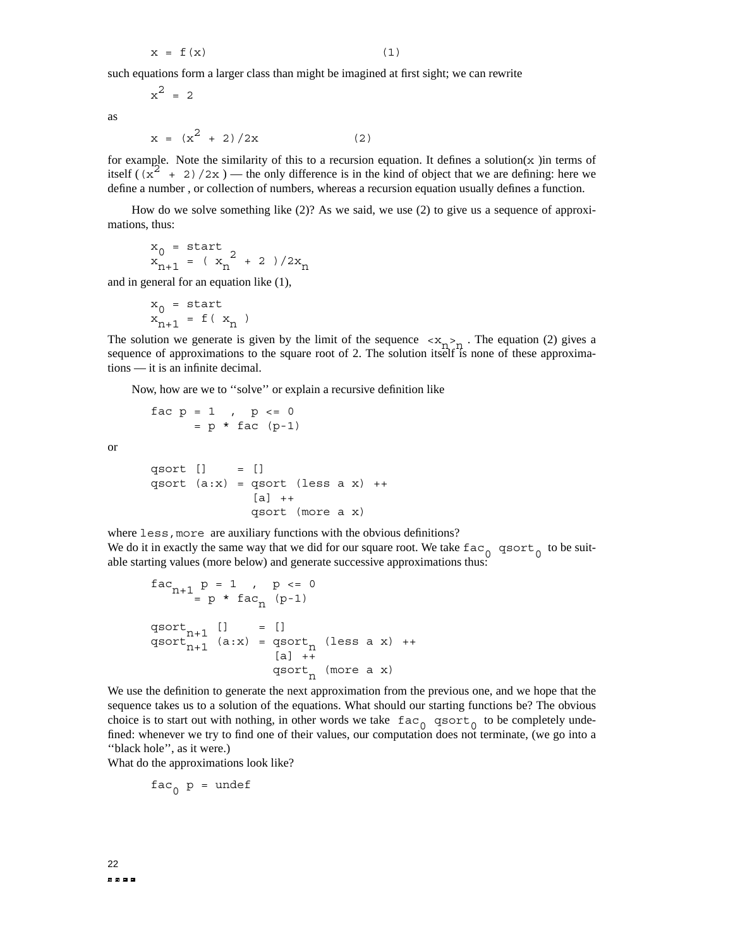$$
x = f(x) \tag{1}
$$

such equations form a larger class than might be imagined at first sight; we can rewrite

$$
x^2 = 2
$$

as

$$
x = (x2 + 2)/2x
$$
 (2)

for example. Note the similarity of this to a recursion equation. It defines a solution( $x$ ) in terms of itself  $((x^2 + 2)/2x)$  — the only difference is in the kind of object that we are defining: here we define a number , or collection of numbers, whereas a recursion equation usually defines a function.

How do we solve something like (2)? As we said, we use (2) to give us a sequence of approximations, thus:

$$
x_0 =
$$
 start  
 $x_{n+1} = (x_n^2 + 2)/2x_n$ 

and in general for an equation like (1),

$$
\begin{array}{l} x_0 = \text{start} \\ x_{n+1} = f(\ x_n) \end{array}
$$

The solution we generate is given by the limit of the sequence  $\langle x_{n} \rangle$ . The equation (2) gives a sequence of approximations to the square root of 2. The solution itself is none of these approximations — it is an infinite decimal.

Now, how are we to ''solve'' or explain a recursive definition like

$$
\begin{array}{rcl}\n\text{fac p = 1} & , & p <= 0 \\
& = p * \text{ fac (p-1)}\n\end{array}
$$

or

$$
\begin{array}{lll}\n\text{qsort} & [] & = [] \\
\text{qsort} & (a:x) & = \text{qsort} \ (\text{less a x}) + \text{+} \\
& [a] & + \text{qsort} \ (\text{more a x})\n\end{array}
$$

where less, more are auxiliary functions with the obvious definitions? We do it in exactly the same way that we did for our square root. We take  $\text{fac}_{0}$  qsort<sub>0</sub> to be suitable starting values (more below) and generate successive approximations thus:

$$
fac_{n+1} p = 1 , p \le 0
$$
\n
$$
= p * fac_n (p-1)
$$
\n
$$
qsort_{n+1} [ ] = []
$$
\n
$$
qsort_{n+1} (a:x) = qsort_n (less a x) ++
$$
\n
$$
[a] ++
$$
\n
$$
qsort_n (more a x)
$$

We use the definition to generate the next approximation from the previous one, and we hope that the sequence takes us to a solution of the equations. What should our starting functions be? The obvious choice is to start out with nothing, in other words we take  $\arccos \frac{1}{\log 0}$  as  $\arccos \frac{1}{\log 0}$  to be completely undefined: whenever we try to find one of their values, our computation does not terminate, (we go into a ''black hole'', as it were.)

What do the approximations look like?

$$
fac_{0} p = \text{undef}
$$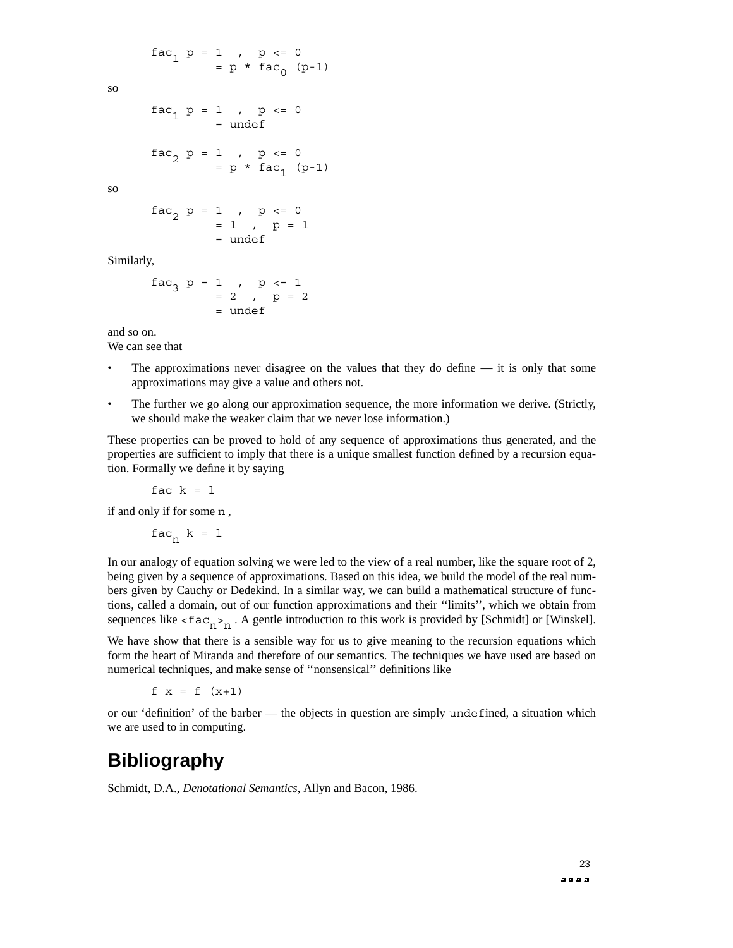$fac_1 p = 1$ ,  $p \le 0$  $= p * fac_{0} (p-1)$ 

so

$$
fac_1 p = 1 , p \le 0
$$
  
=  $undef$ 

$$
fac_2 p = 1 , p \le 0
$$
  
= p \* fac<sub>1</sub> (p-1)

so

$$
fac_2 p = 1 , p <= 0
$$
  
= 1 , p = 1  
=  $undef$ 

Similarly,

$$
fac3 p = 1 , p <= 1 = 2 , p = 2 = under
$$

and so on.

We can see that

- The approximations never disagree on the values that they do define  $-$  it is only that some approximations may give a value and others not.
- The further we go along our approximation sequence, the more information we derive. (Strictly, we should make the weaker claim that we never lose information.)

These properties can be proved to hold of any sequence of approximations thus generated, and the properties are sufficient to imply that there is a unique smallest function defined by a recursion equation. Formally we define it by saying

fac  $k = 1$ 

if and only if for some n ,

 $fac_n k = 1$ 

In our analogy of equation solving we were led to the view of a real number, like the square root of 2, being given by a sequence of approximations. Based on this idea, we build the model of the real numbers given by Cauchy or Dedekind. In a similar way, we can build a mathematical structure of functions, called a domain, out of our function approximations and their ''limits'', which we obtain from sequences like  $\langle$  fac<sub>n</sub> $>$ <sub>n</sub>. A gentle introduction to this work is provided by [Schmidt] or [Winskel].

We have show that there is a sensible way for us to give meaning to the recursion equations which form the heart of Miranda and therefore of our semantics. The techniques we have used are based on numerical techniques, and make sense of ''nonsensical'' definitions like

 $f(x) = f(x+1)$ 

or our 'definition' of the barber — the objects in question are simply undefined, a situation which we are used to in computing.

### **Bibliography**

Schmidt, D.A., *Denotational Semantics*, Allyn and Bacon, 1986.